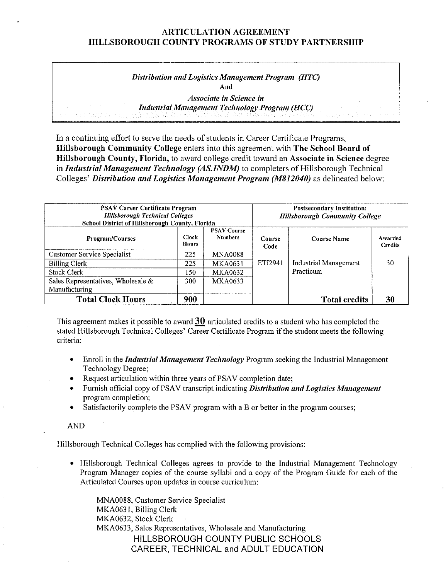### **ARTICULATION AGREEMENT HILLSBOROUGH COUNTY PROGRAMS OF STUDY PARTNERSHIP**

*Distribution and Logistics Management Program (HTC)*  **And** 

*Associate in Science in Industrial Management Technology Program (HCC)* 

In a continuing effort to serve the needs of students in Career Certificate Programs, **Hillsborough Community College** enters into this agreement with **The School Board of Hillsborough County, Florida,** to award college credit toward an **Associate in Science** degree in *Industrial Management Technology (AS.INDM)* to completers of Hillsborough Technical Colleges' *Distribution and Logistics Management Program (M812040)* as delineated below:

| <b>PSAV Career Certificate Program</b><br><b>Hillsborough Technical Colleges</b><br>School District of Hillsborough County, Florida |                |                                      | <b>Postsecondary Institution:</b><br><b>Hillsborough Community College</b> |                              |                           |
|-------------------------------------------------------------------------------------------------------------------------------------|----------------|--------------------------------------|----------------------------------------------------------------------------|------------------------------|---------------------------|
| <b>Program/Courses</b>                                                                                                              | Clock<br>Hours | <b>PSAV Course</b><br><b>Numbers</b> | Course<br>Code                                                             | <b>Course Name</b>           | Awarded<br><b>Credits</b> |
| <b>Customer Service Specialist</b>                                                                                                  | 225            | <b>MNA0088</b>                       |                                                                            |                              |                           |
| Billing Clerk                                                                                                                       | 225            | MKA0631                              | ETI2941                                                                    | <b>Industrial Management</b> | 30                        |
| Stock Clerk                                                                                                                         | 150            | <b>MKA0632</b>                       |                                                                            | Practicum                    |                           |
| Sales Representatives, Wholesale &<br>Manufacturing                                                                                 | 300            | <b>MKA0633</b>                       |                                                                            |                              |                           |
| <b>Total Clock Hours</b>                                                                                                            | 900            |                                      |                                                                            | <b>Total credits</b>         | 30                        |

This agreement makes it possible to award **30** articulated credits to a student who has completed the stated Hillsborough Technical Colleges' Career Certificate Program if the student meets the following criteria:

- Enroll in the *Industrial Management Technology* Program seeking the Industrial Management Technology Degree;
- Request articulation within three years of PSAV completion date;
- Furnish official copy of PSA V transcript indicating *Distribution and Logistics Management*  program completion;
- Satisfactorily complete the PSAV program with a B or better in the program courses;

AND

Hillsborough Technical Colleges has complied with the following provisions:

• Hillsborough Technical Colleges agrees to provide to the Industrial Management Technology Program Manager copies of the course syllabi and a copy of the Program Guide for each of the Articulated Courses upon updates in course curriculum:

MNA0088, Customer Service Specialist MKA063 l, Billing Clerk MKA0632, Stock Clerk MKA0633, Sales Representatives, Wholesale and Manufacturing HILLSBOROUGH COUNTY PUBLIC SCHOOLS CAREER, TECHNICAL and ADULT EDUCATION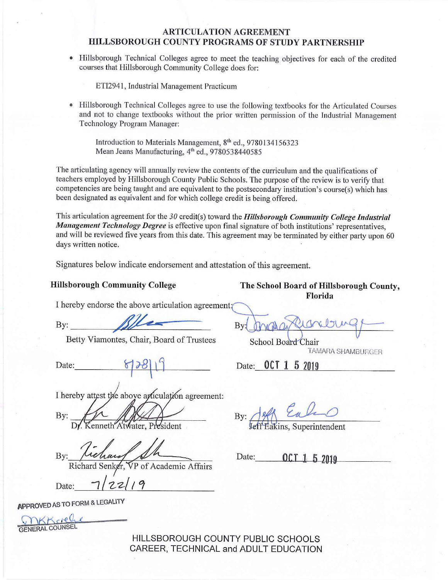## **ARTICULATION AGREEMENT HILLSBOROUGH COUNTY PROGRAMS OF STUDY PARTNERSHIP**

• Hillsborough Technical Colleges agree to meet the teaching objectives for each of the credited courses that Hillsborough Community College does for:

ETI2941, Industrial Management Practicum

Hillsborough Technical Colleges agree to use the following textbooks for the Articulated Courses and not to change textbooks without the prior written permission of the Industrial Management Technology Program Manager:

Introduction to Materials Management, 8<sup>th</sup> ed., 9780134156323 Mean Jeans Manufacturing, 4<sup>th</sup> ed., 9780538440585

The articulating agency will annually review the contents of the curriculum and the qualifications of teachers employed by Hillsborough County Public Schools. The purpose of the review is to verify that competencies are being taught and are equivalent to the postsecondary institution's course(s) which has been designated as equivalent and for which college credit is being offered.

This articulation agreement for the 30 credit(s) toward the *Hillsborough Community College Industrial Management Technology Degree* is effective upon final signature of both institutions' representatives, and will be reviewed five years from this date. This agreement may be terminated by either party upon 60 days written notice.

Signatures below indicate endorsement and attestation of this agreement.

**Hillsborough Community College The School Board of Hillsborough County, Florida** 

I hereby endorse the above articulation agreement?

By: By: By: By: By: By: By: Chair, Board of Trustees School Board Chair

Date:

I hereby attest the above articulation agreement:

By:

enneth Atwater, President

By:

Richard Senker,  $\sqrt{P}$  of Academic Affairs<br>Date:  $\sqrt{2z}/7$ 

**APPROVED AS TO FORM** & **LEGALITY** 

 $KK$ creh GENERAL COUNSEL

TAMARA SHAMBURGER

Date: **OCT 1 5 2019** 

By: <u>Jeff Eakins</u>, Superintendent

Date: **OCT 1 5 2019** 

HILLSBOROUGH COUNTY PUBLIC SCHOOLS CAREER, TECHNICAL and ADULT EDUCATION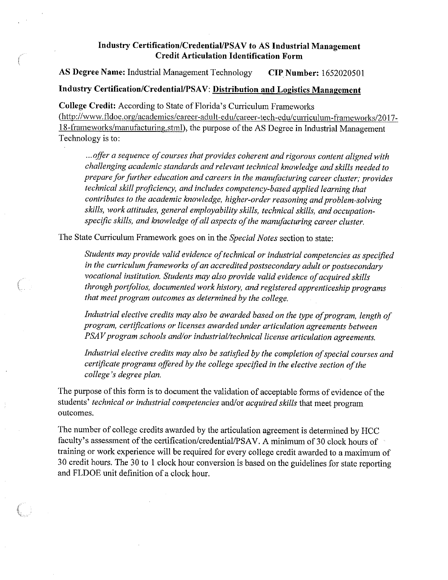# Industry Certification/Credential/PSAV to AS Industrial Management **Credit Articulation Identification Form**

AS Degree Name: Industrial Management Technology **CIP Number:** 1652020501

# **Industry Certification/Credential/PSA V: Distribution and Logistics Management**

**College Credit:** According to State of Florida's Curriculum Frameworks (<http://www.fldoe.org/academics/career-adult-edu/career-tech-edu/curriculum-frameworks/2017>- 18-frameworks/manufacturing.stml), the purpose of the AS Degree in Industrial Management Technology is to:

... offer a sequence of courses that provides coherent and rigorous content aligned with *challenging academic standards and relevant technical knowledge and skills needed to prepare for further education and careers in the mamifacturing career cluster; provides technical skill proficiency, and includes competency-based applied learning that contributes to the academic knowledge, higher-order reasoning and problem-solving skills, work attitudes, general employability skills, technical skills, and occupationspecific skills, and knowledge of all aspects of the manufacturing career cluster.* 

The State Curriculum Framework goes on in the *Special Notes* section to state:

*Students may provide valid evidence oftechnical or industrial competencies as specified*  in the curriculum frameworks of an accredited postsecondary adult or postsecondary *vocational institution. Students may also provide valid evidence of acquired skills through portfolios, documented work history, and registered apprenticeship programs that meet program outcomes as determined by the college.* 

*Industrial elective credits may also be awarded based on the type of program, length of program, certifications or licenses awarded under articulation agreements between PSAV program schools and/or industrial/technical license articulation agreements.* 

Industrial elective credits may also be satisfied by the completion of special courses and *certificate programs offered by the college specified in the elective section ofthe college's degree plan.* 

The purpose of this form is to document the validation of acceptable forms of evidence of the students' *technical or industrial competencies* and/or *acquired skills* that meet program outcomes.

The number of college credits awarded by the articulation agreement is determined by HCC faculty's assessment of the certification/credential/PSAV. A minimum of 30 clock hours of training or work experience will be required for every college credit awarded to a maximum of 30 credit hours. The 30 to 1 clock hour conversion is based on the guidelines for state reporting and FLDOE unit definition of a clock hour.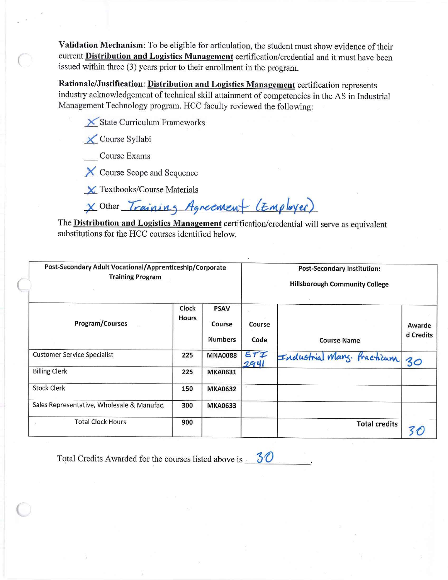**Validation Mechanism:** To be eligible for articulation, the student must show evidence of their cunent **Distribution and Logistics Management** certification/credential and it must have been issued within three (3) years prior to their enrollment in the program.

**Rationale/Justification: Distribution and Logistics Management** certification represents industry acknowledgement of technical skill attainment of competencies in the AS in Industrial Management Technology program. HCC faculty reviewed the following:

**Let X** State Curriculum Frameworks

*-1(\_* Course Syllabi

*(* 

 $\subset$ 

Course Exams

X Course Scope and Sequence

*\_x\_* Textbooks/Course Materials

 $\times$ <sup>Other</sup> *Training Agreemen* (*Employer*)

The **Distribution and Logistics Management** certification/credential will serve as equivalent substitutions for the HCC courses identified below.

| Post-Secondary Adult Vocational/Apprenticeship/Corporate<br><b>Training Program</b> |                       |                                         | <b>Post-Secondary Institution:</b><br><b>Hillsborough Community College</b> |                            |                     |  |
|-------------------------------------------------------------------------------------|-----------------------|-----------------------------------------|-----------------------------------------------------------------------------|----------------------------|---------------------|--|
| Program/Courses                                                                     | Clock<br><b>Hours</b> | <b>PSAV</b><br>Course<br><b>Numbers</b> | Course<br>Code                                                              | <b>Course Name</b>         | Awarde<br>d Credits |  |
| <b>Customer Service Specialist</b>                                                  | 225                   | <b>MNA0088</b>                          | ETI<br>2941                                                                 | Industrial Mary. Practicum | 30                  |  |
| <b>Billing Clerk</b>                                                                | 225                   | <b>MKA0631</b>                          |                                                                             |                            |                     |  |
| <b>Stock Clerk</b>                                                                  | 150                   | <b>MKA0632</b>                          |                                                                             |                            |                     |  |
| Sales Representative, Wholesale & Manufac.                                          | 300                   | <b>MKA0633</b>                          |                                                                             |                            |                     |  |
| <b>Total Clock Hours</b>                                                            | 900                   |                                         |                                                                             | <b>Total credits</b>       |                     |  |

Total Credits Awarded for the courses listed above is  $-30$